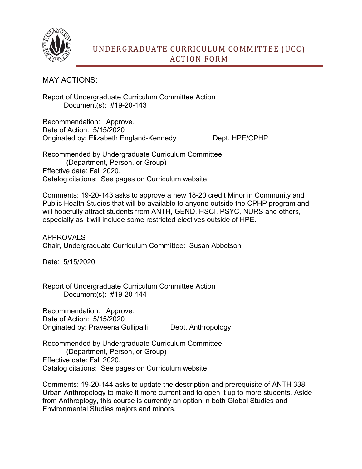

MAY ACTIONS:

Report of Undergraduate Curriculum Committee Action Document(s): #19-20-143

Recommendation: Approve. Date of Action: 5/15/2020 Originated by: Elizabeth England-Kennedy Dept. HPE/CPHP

Recommended by Undergraduate Curriculum Committee (Department, Person, or Group) Effective date: Fall 2020. Catalog citations: See pages on Curriculum website.

Comments: 19-20-143 asks to approve a new 18-20 credit Minor in Community and Public Health Studies that will be available to anyone outside the CPHP program and will hopefully attract students from ANTH, GEND, HSCI, PSYC, NURS and others, especially as it will include some restricted electives outside of HPE.

APPROVALS Chair, Undergraduate Curriculum Committee: Susan Abbotson

Date: 5/15/2020

Report of Undergraduate Curriculum Committee Action Document(s): #19-20-144

Recommendation: Approve. Date of Action: 5/15/2020 Originated by: Praveena Gullipalli Dept. Anthropology

Recommended by Undergraduate Curriculum Committee (Department, Person, or Group) Effective date: Fall 2020. Catalog citations: See pages on Curriculum website.

Comments: 19-20-144 asks to update the description and prerequisite of ANTH 338 Urban Anthropology to make it more current and to open it up to more students. Aside from Anthroplogy, this course is currently an option in both Global Studies and Environmental Studies majors and minors.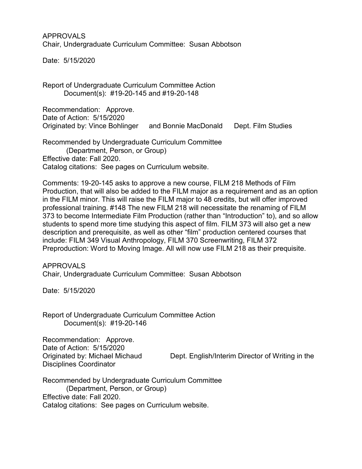APPROVALS Chair, Undergraduate Curriculum Committee: Susan Abbotson

Date: 5/15/2020

Report of Undergraduate Curriculum Committee Action Document(s): #19-20-145 and #19-20-148

Recommendation: Approve. Date of Action: 5/15/2020 Originated by: Vince Bohlinger and Bonnie MacDonald Dept. Film Studies

Recommended by Undergraduate Curriculum Committee (Department, Person, or Group) Effective date: Fall 2020. Catalog citations: See pages on Curriculum website.

Comments: 19-20-145 asks to approve a new course, FILM 218 Methods of Film Production, that will also be added to the FILM major as a requirement and as an option in the FILM minor. This will raise the FILM major to 48 credits, but will offer improved professional training. #148 The new FILM 218 will necessitate the renaming of FILM 373 to become Intermediate Film Production (rather than "Introduction" to), and so allow students to spend more time studying this aspect of film. FILM 373 will also get a new description and prerequisite, as well as other "film" production centered courses that include: FILM 349 Visual Anthropology, FILM 370 Screenwriting, FILM 372 Preproduction: Word to Moving Image. All will now use FILM 218 as their prequisite.

APPROVALS Chair, Undergraduate Curriculum Committee: Susan Abbotson

Date: 5/15/2020

Report of Undergraduate Curriculum Committee Action Document(s): #19-20-146

Recommendation: Approve. Date of Action: 5/15/2020 Disciplines Coordinator

Originated by: Michael Michaud Dept. English/Interim Director of Writing in the

Recommended by Undergraduate Curriculum Committee (Department, Person, or Group) Effective date: Fall 2020. Catalog citations: See pages on Curriculum website.